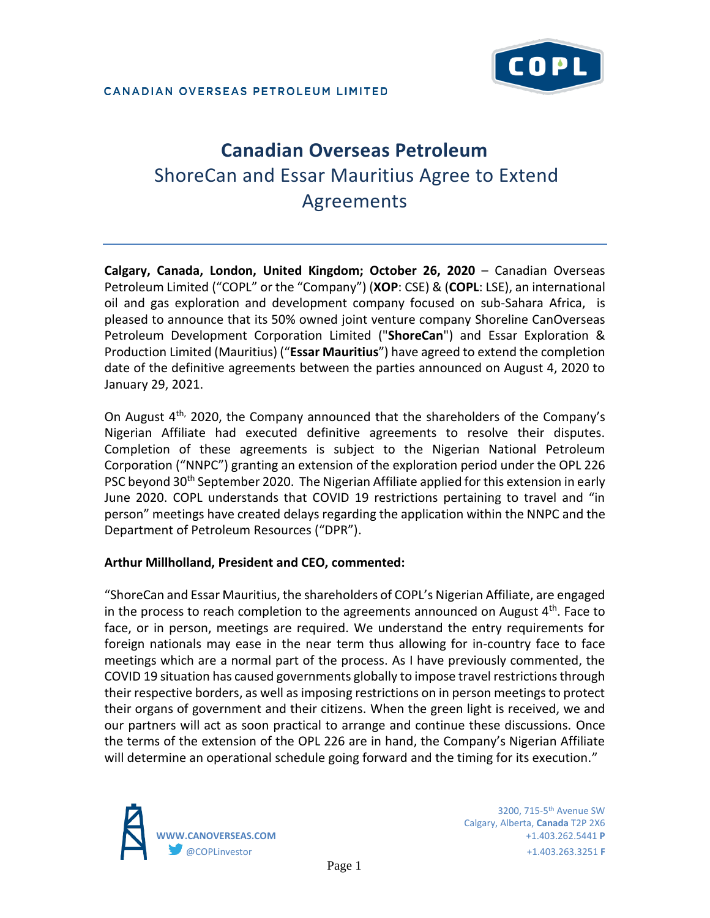# **Canadian Overseas Petroleum**  ShoreCan and Essar Mauritius Agree to Extend Agreements

**Calgary, Canada, London, United Kingdom; October 26, 2020** – Canadian Overseas Petroleum Limited ("COPL" or the "Company") (**XOP**: CSE) & (**COPL**: LSE), an international oil and gas exploration and development company focused on sub-Sahara Africa, is pleased to announce that its 50% owned joint venture company Shoreline CanOverseas Petroleum Development Corporation Limited ("**ShoreCan**") and Essar Exploration & Production Limited (Mauritius) ("**Essar Mauritius**") have agreed to extend the completion date of the definitive agreements between the parties announced on August 4, 2020 to January 29, 2021.

On August 4th, 2020, the Company announced that the shareholders of the Company's Nigerian Affiliate had executed definitive agreements to resolve their disputes. Completion of these agreements is subject to the Nigerian National Petroleum Corporation ("NNPC") granting an extension of the exploration period under the OPL 226 PSC beyond 30<sup>th</sup> September 2020. The Nigerian Affiliate applied for this extension in early June 2020. COPL understands that COVID 19 restrictions pertaining to travel and "in person" meetings have created delays regarding the application within the NNPC and the Department of Petroleum Resources ("DPR").

### **Arthur Millholland, President and CEO, commented:**

"ShoreCan and Essar Mauritius, the shareholders of COPL's Nigerian Affiliate, are engaged in the process to reach completion to the agreements announced on August  $4<sup>th</sup>$ . Face to face, or in person, meetings are required. We understand the entry requirements for foreign nationals may ease in the near term thus allowing for in-country face to face meetings which are a normal part of the process. As I have previously commented, the COVID 19 situation has caused governments globally to impose travel restrictions through their respective borders, as well as imposing restrictions on in person meetings to protect their organs of government and their citizens. When the green light is received, we and our partners will act as soon practical to arrange and continue these discussions. Once the terms of the extension of the OPL 226 are in hand, the Company's Nigerian Affiliate will determine an operational schedule going forward and the timing for its execution."



Calgary, Alberta, **Canada** T2P 2X6 **WWW.CANOVERSEAS.COM** +1.403.262.5441 **P** @COPLinvestor +1.403.263.3251 **F**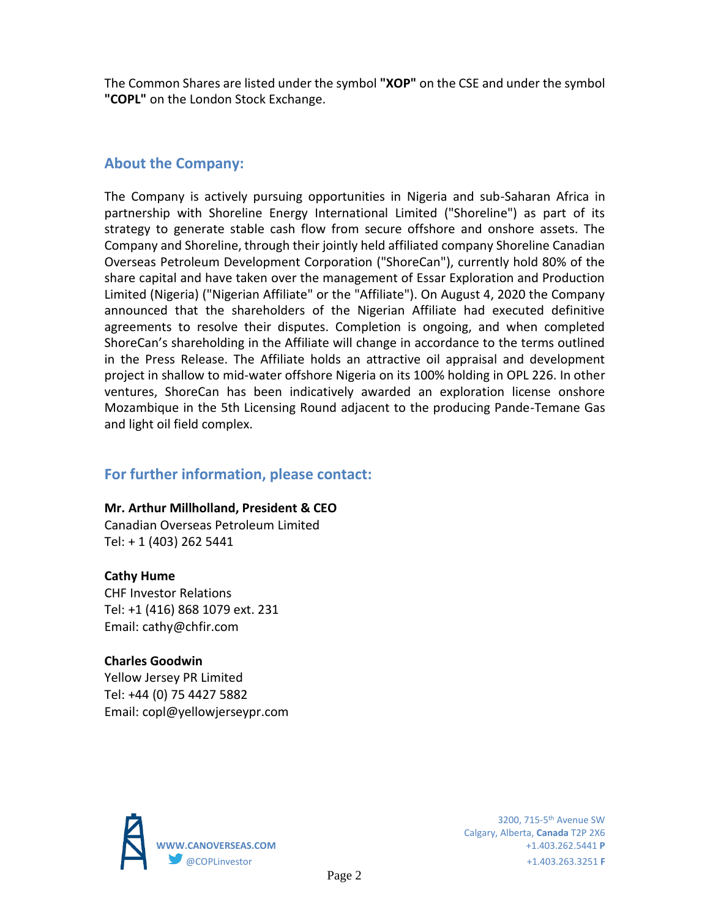The Common Shares are listed under the symbol **"XOP"** on the CSE and under the symbol **"COPL"** on the London Stock Exchange.

## **About the Company:**

The Company is actively pursuing opportunities in Nigeria and sub-Saharan Africa in partnership with Shoreline Energy International Limited ("Shoreline") as part of its strategy to generate stable cash flow from secure offshore and onshore assets. The Company and Shoreline, through their jointly held affiliated company Shoreline Canadian Overseas Petroleum Development Corporation ("ShoreCan"), currently hold 80% of the share capital and have taken over the management of Essar Exploration and Production Limited (Nigeria) ("Nigerian Affiliate" or the "Affiliate"). On August 4, 2020 the Company announced that the shareholders of the Nigerian Affiliate had executed definitive agreements to resolve their disputes. Completion is ongoing, and when completed ShoreCan's shareholding in the Affiliate will change in accordance to the terms outlined in the Press Release. The Affiliate holds an attractive oil appraisal and development project in shallow to mid-water offshore Nigeria on its 100% holding in OPL 226. In other ventures, ShoreCan has been indicatively awarded an exploration license onshore Mozambique in the 5th Licensing Round adjacent to the producing Pande-Temane Gas and light oil field complex.

## **For further information, please contact:**

### **Mr. Arthur Millholland, President & CEO**

Canadian Overseas Petroleum Limited Tel: + 1 (403) 262 5441

### **Cathy Hume**

CHF Investor Relations Tel: +1 (416) 868 1079 ext. 231 Email: cathy@chfir.com

## **Charles Goodwin**

Yellow Jersey PR Limited Tel: +44 (0) 75 4427 5882 Email: copl@yellowjerseypr.com



Calgary, Alberta, **Canada** T2P 2X6 **WWW.CANOVERSEAS.COM** +1.403.262.5441 **P** @COPLinvestor +1.403.263.3251 **F**